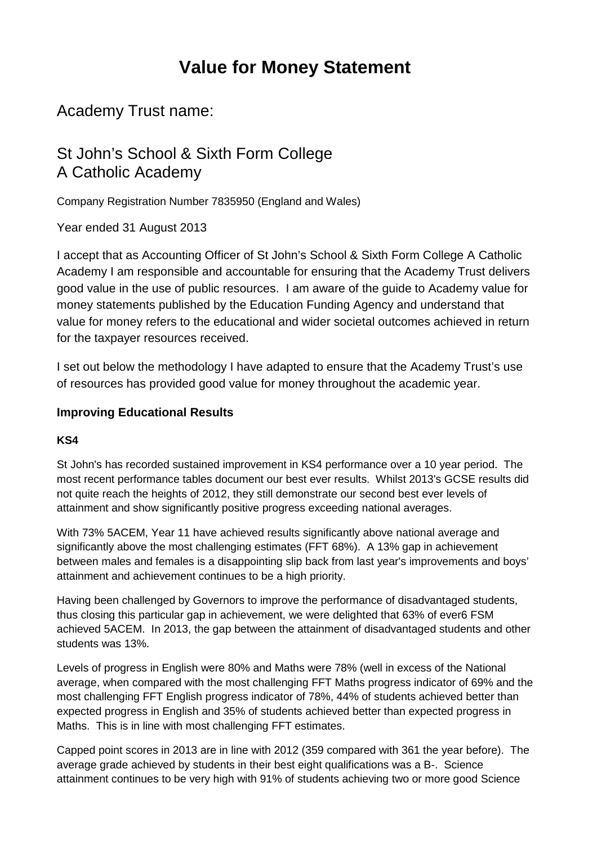# **Value for Money Statement**

Academy Trust name:

# St John's School & Sixth Form College A Catholic Academy

Company Registration Number 7835950 (England and Wales)

Year ended 31 August 2013

I accept that as Accounting Officer of St John's School & Sixth Form College A Catholic Academy I am responsible and accountable for ensuring that the Academy Trust delivers good value in the use of public resources. I am aware of the guide to Academy value for money statements published by the Education Funding Agency and understand that value for money refers to the educational and wider societal outcomes achieved in return for the taxpayer resources received.

I set out below the methodology I have adapted to ensure that the Academy Trust's use of resources has provided good value for money throughout the academic year.

## **Improving Educational Results**

#### **KS4**

St John's has recorded sustained improvement in KS4 performance over a 10 year period. The most recent performance tables document our best ever results. Whilst 2013's GCSE results did not quite reach the heights of 2012, they still demonstrate our second best ever levels of attainment and show significantly positive progress exceeding national averages.

With 73% 5ACEM, Year 11 have achieved results significantly above national average and significantly above the most challenging estimates (FFT 68%). A 13% gap in achievement between males and females is a disappointing slip back from last year's improvements and boys' attainment and achievement continues to be a high priority.

Having been challenged by Governors to improve the performance of disadvantaged students, thus closing this particular gap in achievement, we were delighted that 63% of ever6 FSM achieved 5ACEM. In 2013, the gap between the attainment of disadvantaged students and other students was 13%.

Levels of progress in English were 80% and Maths were 78% (well in excess of the National average, when compared with the most challenging FFT Maths progress indicator of 69% and the most challenging FFT English progress indicator of 78%, 44% of students achieved better than expected progress in English and 35% of students achieved better than expected progress in Maths. This is in line with most challenging FFT estimates.

Capped point scores in 2013 are in line with 2012 (359 compared with 361 the year before). The average grade achieved by students in their best eight qualifications was a B-. Science attainment continues to be very high with 91% of students achieving two or more good Science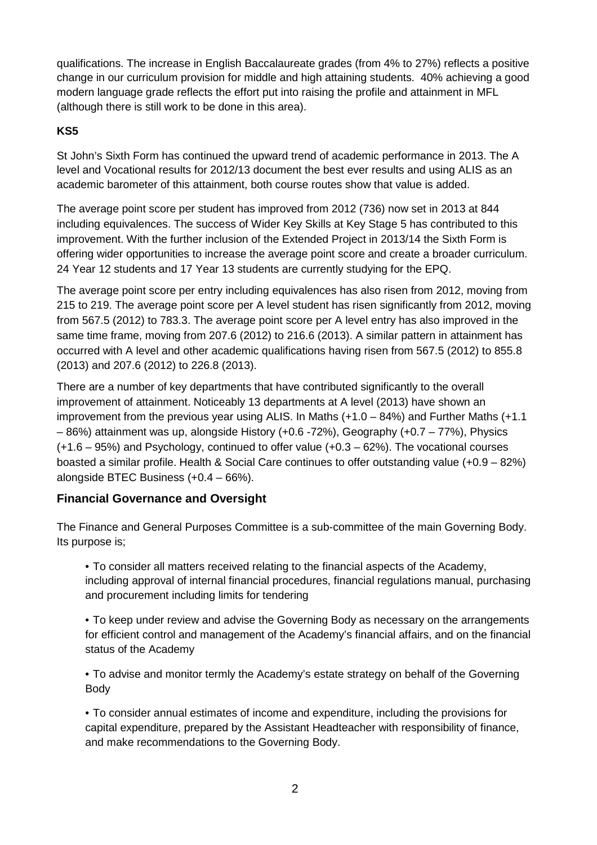qualifications. The increase in English Baccalaureate grades (from 4% to 27%) reflects a positive change in our curriculum provision for middle and high attaining students. 40% achieving a good modern language grade reflects the effort put into raising the profile and attainment in MFL (although there is still work to be done in this area).

#### **KS5**

St John's Sixth Form has continued the upward trend of academic performance in 2013. The A level and Vocational results for 2012/13 document the best ever results and using ALIS as an academic barometer of this attainment, both course routes show that value is added.

The average point score per student has improved from 2012 (736) now set in 2013 at 844 including equivalences. The success of Wider Key Skills at Key Stage 5 has contributed to this improvement. With the further inclusion of the Extended Project in 2013/14 the Sixth Form is offering wider opportunities to increase the average point score and create a broader curriculum. 24 Year 12 students and 17 Year 13 students are currently studying for the EPQ.

The average point score per entry including equivalences has also risen from 2012, moving from 215 to 219. The average point score per A level student has risen significantly from 2012, moving from 567.5 (2012) to 783.3. The average point score per A level entry has also improved in the same time frame, moving from 207.6 (2012) to 216.6 (2013). A similar pattern in attainment has occurred with A level and other academic qualifications having risen from 567.5 (2012) to 855.8 (2013) and 207.6 (2012) to 226.8 (2013).

There are a number of key departments that have contributed significantly to the overall improvement of attainment. Noticeably 13 departments at A level (2013) have shown an improvement from the previous year using ALIS. In Maths (+1.0 – 84%) and Further Maths (+1.1 – 86%) attainment was up, alongside History (+0.6 -72%), Geography (+0.7 – 77%), Physics (+1.6 – 95%) and Psychology, continued to offer value (+0.3 – 62%). The vocational courses boasted a similar profile. Health & Social Care continues to offer outstanding value (+0.9 – 82%) alongside BTEC Business (+0.4 – 66%).

#### **Financial Governance and Oversight**

The Finance and General Purposes Committee is a sub-committee of the main Governing Body. Its purpose is;

• To consider all matters received relating to the financial aspects of the Academy, including approval of internal financial procedures, financial regulations manual, purchasing and procurement including limits for tendering

• To keep under review and advise the Governing Body as necessary on the arrangements for efficient control and management of the Academy's financial affairs, and on the financial status of the Academy

• To advise and monitor termly the Academy's estate strategy on behalf of the Governing Body

• To consider annual estimates of income and expenditure, including the provisions for capital expenditure, prepared by the Assistant Headteacher with responsibility of finance, and make recommendations to the Governing Body.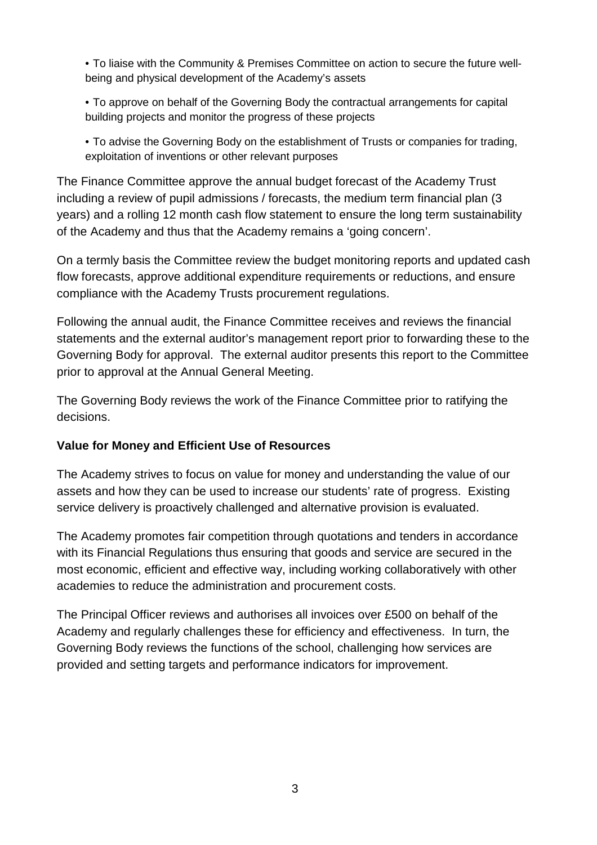• To liaise with the Community & Premises Committee on action to secure the future wellbeing and physical development of the Academy's assets

• To approve on behalf of the Governing Body the contractual arrangements for capital building projects and monitor the progress of these projects

• To advise the Governing Body on the establishment of Trusts or companies for trading, exploitation of inventions or other relevant purposes

The Finance Committee approve the annual budget forecast of the Academy Trust including a review of pupil admissions / forecasts, the medium term financial plan (3 years) and a rolling 12 month cash flow statement to ensure the long term sustainability of the Academy and thus that the Academy remains a 'going concern'.

On a termly basis the Committee review the budget monitoring reports and updated cash flow forecasts, approve additional expenditure requirements or reductions, and ensure compliance with the Academy Trusts procurement regulations.

Following the annual audit, the Finance Committee receives and reviews the financial statements and the external auditor's management report prior to forwarding these to the Governing Body for approval. The external auditor presents this report to the Committee prior to approval at the Annual General Meeting.

The Governing Body reviews the work of the Finance Committee prior to ratifying the decisions.

# **Value for Money and Efficient Use of Resources**

The Academy strives to focus on value for money and understanding the value of our assets and how they can be used to increase our students' rate of progress. Existing service delivery is proactively challenged and alternative provision is evaluated.

The Academy promotes fair competition through quotations and tenders in accordance with its Financial Regulations thus ensuring that goods and service are secured in the most economic, efficient and effective way, including working collaboratively with other academies to reduce the administration and procurement costs.

The Principal Officer reviews and authorises all invoices over £500 on behalf of the Academy and regularly challenges these for efficiency and effectiveness. In turn, the Governing Body reviews the functions of the school, challenging how services are provided and setting targets and performance indicators for improvement.